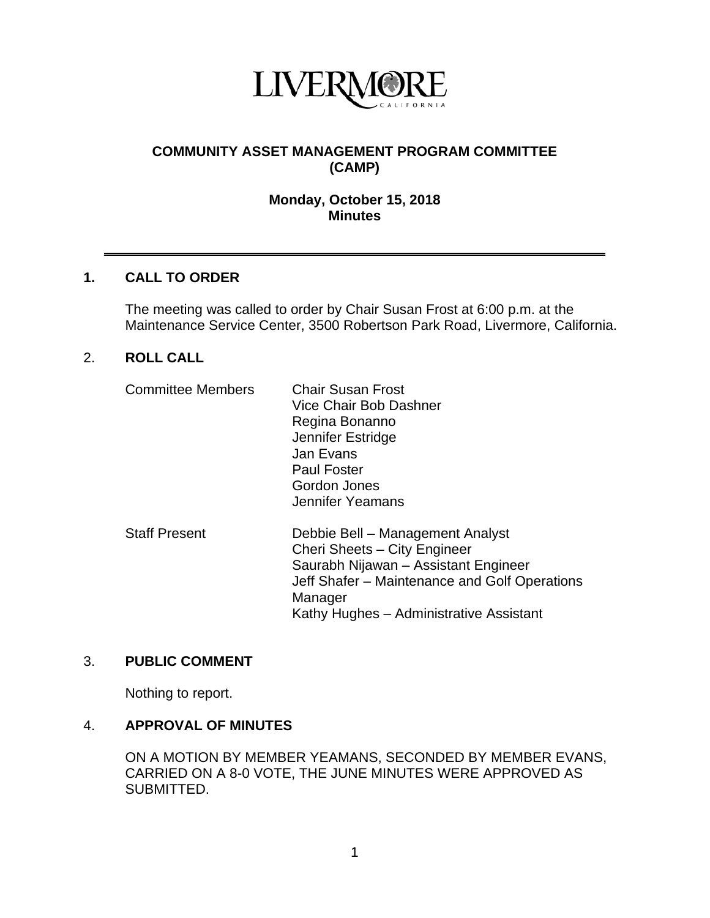

# **COMMUNITY ASSET MANAGEMENT PROGRAM COMMITTEE (CAMP)**

# **Monday, October 15, 2018 Minutes**

### **1. CALL TO ORDER**

The meeting was called to order by Chair Susan Frost at 6:00 p.m. at the Maintenance Service Center, 3500 Robertson Park Road, Livermore, California.

### 2. **ROLL CALL**

| <b>Committee Members</b> | <b>Chair Susan Frost</b><br>Vice Chair Bob Dashner<br>Regina Bonanno<br>Jennifer Estridge<br>Jan Evans<br><b>Paul Foster</b><br>Gordon Jones<br>Jennifer Yeamans                                                |
|--------------------------|-----------------------------------------------------------------------------------------------------------------------------------------------------------------------------------------------------------------|
| <b>Staff Present</b>     | Debbie Bell - Management Analyst<br>Cheri Sheets - City Engineer<br>Saurabh Nijawan - Assistant Engineer<br>Jeff Shafer – Maintenance and Golf Operations<br>Manager<br>Kathy Hughes – Administrative Assistant |

### 3. **PUBLIC COMMENT**

Nothing to report.

### 4. **APPROVAL OF MINUTES**

ON A MOTION BY MEMBER YEAMANS, SECONDED BY MEMBER EVANS, CARRIED ON A 8-0 VOTE, THE JUNE MINUTES WERE APPROVED AS SUBMITTED.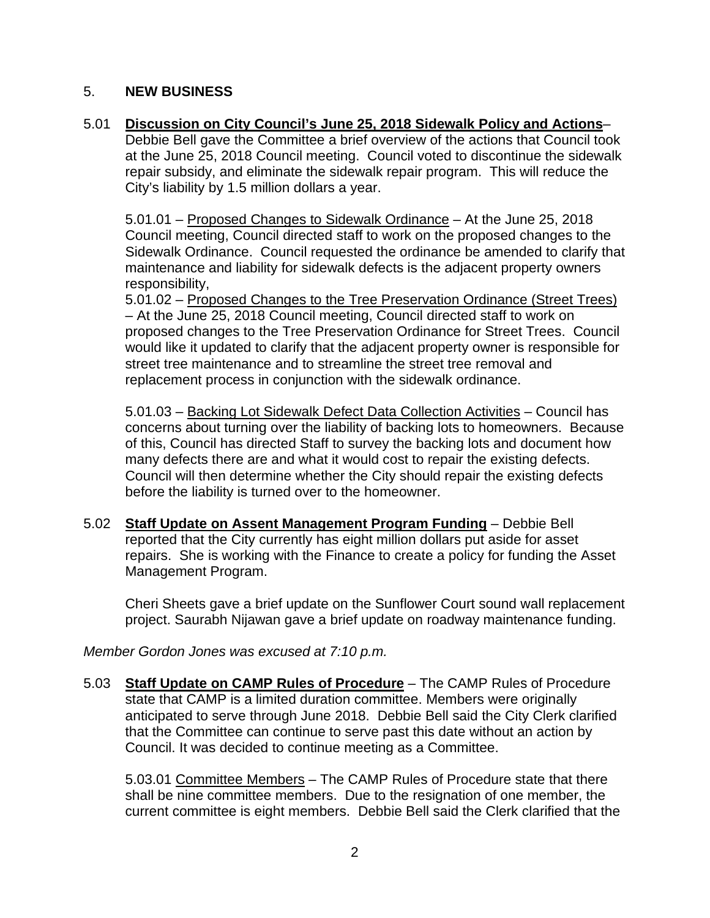# 5. **NEW BUSINESS**

5.01 **Discussion on City Council's June 25, 2018 Sidewalk Policy and Actions**–

Debbie Bell gave the Committee a brief overview of the actions that Council took at the June 25, 2018 Council meeting. Council voted to discontinue the sidewalk repair subsidy, and eliminate the sidewalk repair program. This will reduce the City's liability by 1.5 million dollars a year.

5.01.01 – Proposed Changes to Sidewalk Ordinance – At the June 25, 2018 Council meeting, Council directed staff to work on the proposed changes to the Sidewalk Ordinance. Council requested the ordinance be amended to clarify that maintenance and liability for sidewalk defects is the adjacent property owners responsibility,

5.01.02 – Proposed Changes to the Tree Preservation Ordinance (Street Trees) – At the June 25, 2018 Council meeting, Council directed staff to work on proposed changes to the Tree Preservation Ordinance for Street Trees. Council would like it updated to clarify that the adjacent property owner is responsible for street tree maintenance and to streamline the street tree removal and replacement process in conjunction with the sidewalk ordinance.

5.01.03 – Backing Lot Sidewalk Defect Data Collection Activities – Council has concerns about turning over the liability of backing lots to homeowners. Because of this, Council has directed Staff to survey the backing lots and document how many defects there are and what it would cost to repair the existing defects. Council will then determine whether the City should repair the existing defects before the liability is turned over to the homeowner.

5.02 **Staff Update on Assent Management Program Funding** – Debbie Bell reported that the City currently has eight million dollars put aside for asset repairs. She is working with the Finance to create a policy for funding the Asset Management Program.

Cheri Sheets gave a brief update on the Sunflower Court sound wall replacement project. Saurabh Nijawan gave a brief update on roadway maintenance funding.

*Member Gordon Jones was excused at 7:10 p.m.*

5.03 **Staff Update on CAMP Rules of Procedure** – The CAMP Rules of Procedure state that CAMP is a limited duration committee. Members were originally anticipated to serve through June 2018. Debbie Bell said the City Clerk clarified that the Committee can continue to serve past this date without an action by Council. It was decided to continue meeting as a Committee.

5.03.01 Committee Members – The CAMP Rules of Procedure state that there shall be nine committee members. Due to the resignation of one member, the current committee is eight members. Debbie Bell said the Clerk clarified that the